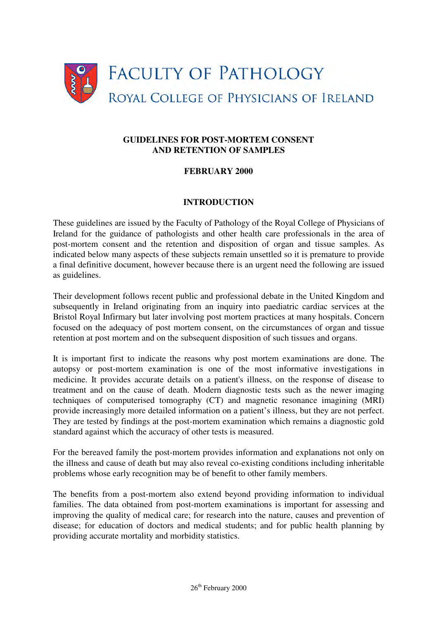

## **GUIDELINES FOR POST-MORTEM CONSENT AND RETENTION OF SAMPLES**

## **FEBRUARY 2000**

#### **INTRODUCTION**

These guidelines are issued by the Faculty of Pathology of the Royal College of Physicians of Ireland for the guidance of pathologists and other health care professionals in the area of post-mortem consent and the retention and disposition of organ and tissue samples. As indicated below many aspects of these subjects remain unsettled so it is premature to provide a final definitive document, however because there is an urgent need the following are issued as guidelines.

Their development follows recent public and professional debate in the United Kingdom and subsequently in Ireland originating from an inquiry into paediatric cardiac services at the Bristol Royal Infirmary but later involving post mortem practices at many hospitals. Concern focused on the adequacy of post mortem consent, on the circumstances of organ and tissue retention at post mortem and on the subsequent disposition of such tissues and organs.

It is important first to indicate the reasons why post mortem examinations are done. The autopsy or post-mortem examination is one of the most informative investigations in medicine. It provides accurate details on a patient's illness, on the response of disease to treatment and on the cause of death. Modern diagnostic tests such as the newer imaging techniques of computerised tomography (CT) and magnetic resonance imagining (MRI) provide increasingly more detailed information on a patient's illness, but they are not perfect. They are tested by findings at the post-mortem examination which remains a diagnostic gold standard against which the accuracy of other tests is measured.

For the bereaved family the post-mortem provides information and explanations not only on the illness and cause of death but may also reveal co-existing conditions including inheritable problems whose early recognition may be of benefit to other family members.

The benefits from a post-mortem also extend beyond providing information to individual families. The data obtained from post-mortem examinations is important for assessing and improving the quality of medical care; for research into the nature, causes and prevention of disease; for education of doctors and medical students; and for public health planning by providing accurate mortality and morbidity statistics.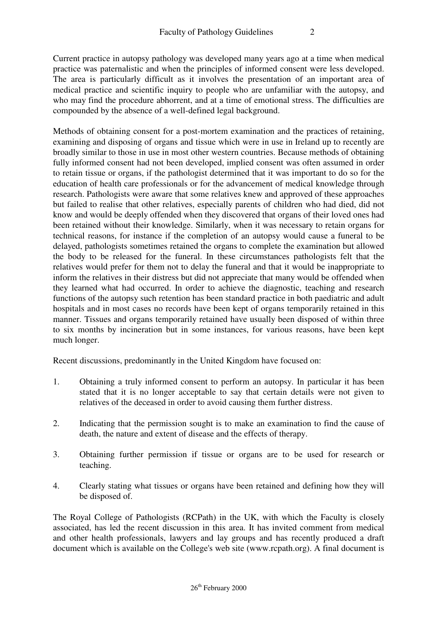Current practice in autopsy pathology was developed many years ago at a time when medical practice was paternalistic and when the principles of informed consent were less developed. The area is particularly difficult as it involves the presentation of an important area of medical practice and scientific inquiry to people who are unfamiliar with the autopsy, and who may find the procedure abhorrent, and at a time of emotional stress. The difficulties are compounded by the absence of a well-defined legal background.

Methods of obtaining consent for a post-mortem examination and the practices of retaining, examining and disposing of organs and tissue which were in use in Ireland up to recently are broadly similar to those in use in most other western countries. Because methods of obtaining fully informed consent had not been developed, implied consent was often assumed in order to retain tissue or organs, if the pathologist determined that it was important to do so for the education of health care professionals or for the advancement of medical knowledge through research. Pathologists were aware that some relatives knew and approved of these approaches but failed to realise that other relatives, especially parents of children who had died, did not know and would be deeply offended when they discovered that organs of their loved ones had been retained without their knowledge. Similarly, when it was necessary to retain organs for technical reasons, for instance if the completion of an autopsy would cause a funeral to be delayed, pathologists sometimes retained the organs to complete the examination but allowed the body to be released for the funeral. In these circumstances pathologists felt that the relatives would prefer for them not to delay the funeral and that it would be inappropriate to inform the relatives in their distress but did not appreciate that many would be offended when they learned what had occurred. In order to achieve the diagnostic, teaching and research functions of the autopsy such retention has been standard practice in both paediatric and adult hospitals and in most cases no records have been kept of organs temporarily retained in this manner. Tissues and organs temporarily retained have usually been disposed of within three to six months by incineration but in some instances, for various reasons, have been kept much longer.

Recent discussions, predominantly in the United Kingdom have focused on:

- 1. Obtaining a truly informed consent to perform an autopsy. In particular it has been stated that it is no longer acceptable to say that certain details were not given to relatives of the deceased in order to avoid causing them further distress.
- 2. Indicating that the permission sought is to make an examination to find the cause of death, the nature and extent of disease and the effects of therapy.
- 3. Obtaining further permission if tissue or organs are to be used for research or teaching.
- 4. Clearly stating what tissues or organs have been retained and defining how they will be disposed of.

The Royal College of Pathologists (RCPath) in the UK, with which the Faculty is closely associated, has led the recent discussion in this area. It has invited comment from medical and other health professionals, lawyers and lay groups and has recently produced a draft document which is available on the College's web site (www.rcpath.org). A final document is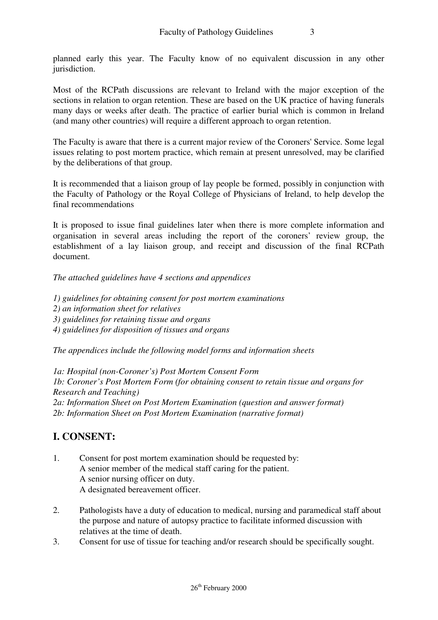planned early this year. The Faculty know of no equivalent discussion in any other jurisdiction.

Most of the RCPath discussions are relevant to Ireland with the major exception of the sections in relation to organ retention. These are based on the UK practice of having funerals many days or weeks after death. The practice of earlier burial which is common in Ireland (and many other countries) will require a different approach to organ retention.

The Faculty is aware that there is a current major review of the Coroners' Service. Some legal issues relating to post mortem practice, which remain at present unresolved, may be clarified by the deliberations of that group.

It is recommended that a liaison group of lay people be formed, possibly in conjunction with the Faculty of Pathology or the Royal College of Physicians of Ireland, to help develop the final recommendations

It is proposed to issue final guidelines later when there is more complete information and organisation in several areas including the report of the coroners' review group, the establishment of a lay liaison group, and receipt and discussion of the final RCPath document.

*The attached guidelines have 4 sections and appendices* 

*1) guidelines for obtaining consent for post mortem examinations 2) an information sheet for relatives 3) guidelines for retaining tissue and organs 4) guidelines for disposition of tissues and organs*

*The appendices include the following model forms and information sheets* 

*1a: Hospital (non-Coroner's) Post Mortem Consent Form 1b: Coroner's Post Mortem Form (for obtaining consent to retain tissue and organs for Research and Teaching) 2a: Information Sheet on Post Mortem Examination (question and answer format) 2b: Information Sheet on Post Mortem Examination (narrative format)* 

# **I. CONSENT:**

- 1. Consent for post mortem examination should be requested by: A senior member of the medical staff caring for the patient. A senior nursing officer on duty. A designated bereavement officer.
- 2. Pathologists have a duty of education to medical, nursing and paramedical staff about the purpose and nature of autopsy practice to facilitate informed discussion with relatives at the time of death.
- 3. Consent for use of tissue for teaching and/or research should be specifically sought.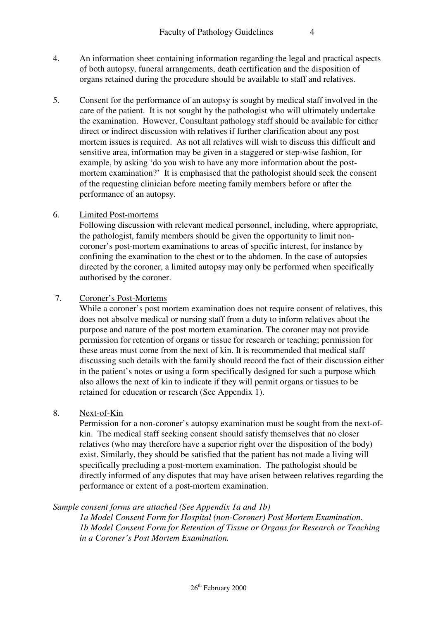- 4. An information sheet containing information regarding the legal and practical aspects of both autopsy, funeral arrangements, death certification and the disposition of organs retained during the procedure should be available to staff and relatives.
- 5. Consent for the performance of an autopsy is sought by medical staff involved in the care of the patient. It is not sought by the pathologist who will ultimately undertake the examination. However, Consultant pathology staff should be available for either direct or indirect discussion with relatives if further clarification about any post mortem issues is required. As not all relatives will wish to discuss this difficult and sensitive area, information may be given in a staggered or step-wise fashion, for example, by asking 'do you wish to have any more information about the postmortem examination?' It is emphasised that the pathologist should seek the consent of the requesting clinician before meeting family members before or after the performance of an autopsy.

## 6. Limited Post-mortems

Following discussion with relevant medical personnel, including, where appropriate, the pathologist, family members should be given the opportunity to limit noncoroner's post-mortem examinations to areas of specific interest, for instance by confining the examination to the chest or to the abdomen. In the case of autopsies directed by the coroner, a limited autopsy may only be performed when specifically authorised by the coroner.

# 7. Coroner's Post-Mortems

While a coroner's post mortem examination does not require consent of relatives, this does not absolve medical or nursing staff from a duty to inform relatives about the purpose and nature of the post mortem examination. The coroner may not provide permission for retention of organs or tissue for research or teaching; permission for these areas must come from the next of kin. It is recommended that medical staff discussing such details with the family should record the fact of their discussion either in the patient's notes or using a form specifically designed for such a purpose which also allows the next of kin to indicate if they will permit organs or tissues to be retained for education or research (See Appendix 1).

# 8. Next-of-Kin

Permission for a non-coroner's autopsy examination must be sought from the next-ofkin. The medical staff seeking consent should satisfy themselves that no closer relatives (who may therefore have a superior right over the disposition of the body) exist. Similarly, they should be satisfied that the patient has not made a living will specifically precluding a post-mortem examination. The pathologist should be directly informed of any disputes that may have arisen between relatives regarding the performance or extent of a post-mortem examination.

# *Sample consent forms are attached (See Appendix 1a and 1b)*

*1a Model Consent Form for Hospital (non-Coroner) Post Mortem Examination. 1b Model Consent Form for Retention of Tissue or Organs for Research or Teaching in a Coroner's Post Mortem Examination.*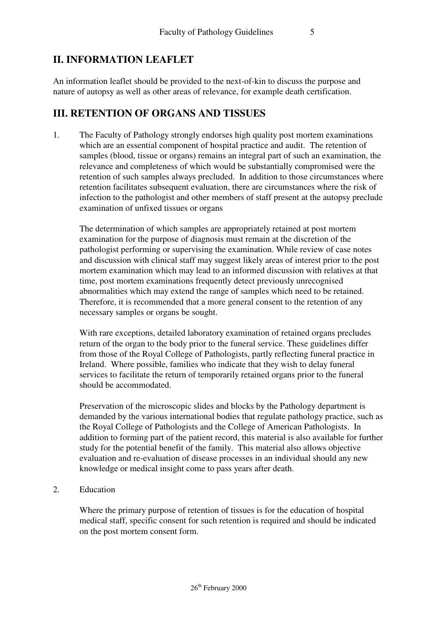# **II. INFORMATION LEAFLET**

An information leaflet should be provided to the next-of-kin to discuss the purpose and nature of autopsy as well as other areas of relevance, for example death certification.

# **III. RETENTION OF ORGANS AND TISSUES**

1. The Faculty of Pathology strongly endorses high quality post mortem examinations which are an essential component of hospital practice and audit. The retention of samples (blood, tissue or organs) remains an integral part of such an examination, the relevance and completeness of which would be substantially compromised were the retention of such samples always precluded. In addition to those circumstances where retention facilitates subsequent evaluation, there are circumstances where the risk of infection to the pathologist and other members of staff present at the autopsy preclude examination of unfixed tissues or organs

The determination of which samples are appropriately retained at post mortem examination for the purpose of diagnosis must remain at the discretion of the pathologist performing or supervising the examination. While review of case notes and discussion with clinical staff may suggest likely areas of interest prior to the post mortem examination which may lead to an informed discussion with relatives at that time, post mortem examinations frequently detect previously unrecognised abnormalities which may extend the range of samples which need to be retained. Therefore, it is recommended that a more general consent to the retention of any necessary samples or organs be sought.

With rare exceptions, detailed laboratory examination of retained organs precludes return of the organ to the body prior to the funeral service. These guidelines differ from those of the Royal College of Pathologists, partly reflecting funeral practice in Ireland. Where possible, families who indicate that they wish to delay funeral services to facilitate the return of temporarily retained organs prior to the funeral should be accommodated.

Preservation of the microscopic slides and blocks by the Pathology department is demanded by the various international bodies that regulate pathology practice, such as the Royal College of Pathologists and the College of American Pathologists. In addition to forming part of the patient record, this material is also available for further study for the potential benefit of the family. This material also allows objective evaluation and re-evaluation of disease processes in an individual should any new knowledge or medical insight come to pass years after death.

2. Education

Where the primary purpose of retention of tissues is for the education of hospital medical staff, specific consent for such retention is required and should be indicated on the post mortem consent form.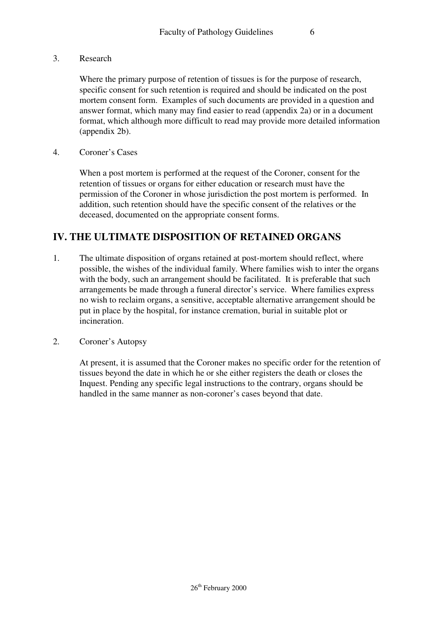3. Research

Where the primary purpose of retention of tissues is for the purpose of research, specific consent for such retention is required and should be indicated on the post mortem consent form. Examples of such documents are provided in a question and answer format, which many may find easier to read (appendix 2a) or in a document format, which although more difficult to read may provide more detailed information (appendix 2b).

4. Coroner's Cases

When a post mortem is performed at the request of the Coroner, consent for the retention of tissues or organs for either education or research must have the permission of the Coroner in whose jurisdiction the post mortem is performed. In addition, such retention should have the specific consent of the relatives or the deceased, documented on the appropriate consent forms.

# **IV. THE ULTIMATE DISPOSITION OF RETAINED ORGANS**

- 1. The ultimate disposition of organs retained at post-mortem should reflect, where possible, the wishes of the individual family. Where families wish to inter the organs with the body, such an arrangement should be facilitated. It is preferable that such arrangements be made through a funeral director's service. Where families express no wish to reclaim organs, a sensitive, acceptable alternative arrangement should be put in place by the hospital, for instance cremation, burial in suitable plot or incineration.
- 2. Coroner's Autopsy

At present, it is assumed that the Coroner makes no specific order for the retention of tissues beyond the date in which he or she either registers the death or closes the Inquest. Pending any specific legal instructions to the contrary, organs should be handled in the same manner as non-coroner's cases beyond that date.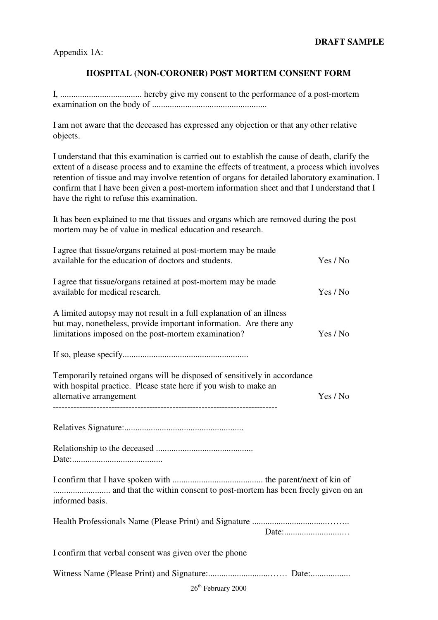Appendix 1A:

### **HOSPITAL (NON-CORONER) POST MORTEM CONSENT FORM**

I, ..................................... hereby give my consent to the performance of a post-mortem examination on the body of ....................................................

I am not aware that the deceased has expressed any objection or that any other relative objects.

I understand that this examination is carried out to establish the cause of death, clarify the extent of a disease process and to examine the effects of treatment, a process which involves retention of tissue and may involve retention of organs for detailed laboratory examination. I confirm that I have been given a post-mortem information sheet and that I understand that I have the right to refuse this examination.

It has been explained to me that tissues and organs which are removed during the post mortem may be of value in medical education and research.

| I agree that tissue/organs retained at post-mortem may be made<br>available for the education of doctors and students.                                                                            | Yes / No |  |
|---------------------------------------------------------------------------------------------------------------------------------------------------------------------------------------------------|----------|--|
| I agree that tissue/organs retained at post-mortem may be made<br>available for medical research.                                                                                                 | Yes / No |  |
| A limited autopsy may not result in a full explanation of an illness<br>but may, nonetheless, provide important information. Are there any<br>limitations imposed on the post-mortem examination? | Yes / No |  |
|                                                                                                                                                                                                   |          |  |
| Temporarily retained organs will be disposed of sensitively in accordance<br>with hospital practice. Please state here if you wish to make an<br>alternative arrangement                          | Yes / No |  |
|                                                                                                                                                                                                   |          |  |
|                                                                                                                                                                                                   |          |  |
| informed basis.                                                                                                                                                                                   |          |  |
| Date:                                                                                                                                                                                             |          |  |
| I confirm that verbal consent was given over the phone                                                                                                                                            |          |  |
|                                                                                                                                                                                                   |          |  |
| 26 <sup>th</sup> February 2000                                                                                                                                                                    |          |  |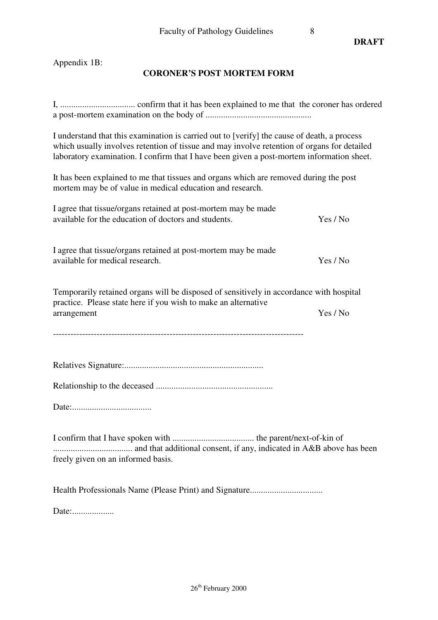**DRAFT** 

Appendix 1B:

# **CORONER'S POST MORTEM FORM**

| I understand that this examination is carried out to [verify] the cause of death, a process<br>which usually involves retention of tissue and may involve retention of organs for detailed<br>laboratory examination. I confirm that I have been given a post-mortem information sheet. |          |  |
|-----------------------------------------------------------------------------------------------------------------------------------------------------------------------------------------------------------------------------------------------------------------------------------------|----------|--|
| It has been explained to me that tissues and organs which are removed during the post<br>mortem may be of value in medical education and research.                                                                                                                                      |          |  |
| I agree that tissue/organs retained at post-mortem may be made<br>available for the education of doctors and students.                                                                                                                                                                  | Yes / No |  |
| I agree that tissue/organs retained at post-mortem may be made<br>available for medical research.                                                                                                                                                                                       | Yes / No |  |
| Temporarily retained organs will be disposed of sensitively in accordance with hospital<br>practice. Please state here if you wish to make an alternative<br>arrangement                                                                                                                | Yes / No |  |
|                                                                                                                                                                                                                                                                                         |          |  |
|                                                                                                                                                                                                                                                                                         |          |  |
|                                                                                                                                                                                                                                                                                         |          |  |
|                                                                                                                                                                                                                                                                                         |          |  |
| freely given on an informed basis.                                                                                                                                                                                                                                                      |          |  |
|                                                                                                                                                                                                                                                                                         |          |  |

Date:....................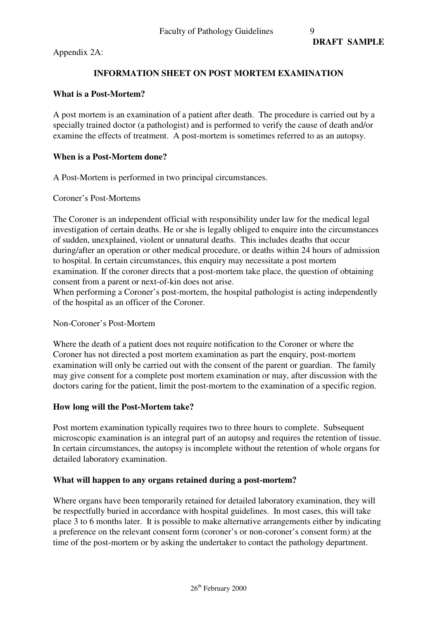Appendix 2A:

## **INFORMATION SHEET ON POST MORTEM EXAMINATION**

#### **What is a Post-Mortem?**

A post mortem is an examination of a patient after death. The procedure is carried out by a specially trained doctor (a pathologist) and is performed to verify the cause of death and/or examine the effects of treatment. A post-mortem is sometimes referred to as an autopsy.

#### **When is a Post-Mortem done?**

A Post-Mortem is performed in two principal circumstances.

Coroner's Post-Mortems

The Coroner is an independent official with responsibility under law for the medical legal investigation of certain deaths. He or she is legally obliged to enquire into the circumstances of sudden, unexplained, violent or unnatural deaths. This includes deaths that occur during/after an operation or other medical procedure, or deaths within 24 hours of admission to hospital. In certain circumstances, this enquiry may necessitate a post mortem examination. If the coroner directs that a post-mortem take place, the question of obtaining consent from a parent or next-of-kin does not arise.

When performing a Coroner's post-mortem, the hospital pathologist is acting independently of the hospital as an officer of the Coroner.

#### Non-Coroner's Post-Mortem

Where the death of a patient does not require notification to the Coroner or where the Coroner has not directed a post mortem examination as part the enquiry, post-mortem examination will only be carried out with the consent of the parent or guardian. The family may give consent for a complete post mortem examination or may, after discussion with the doctors caring for the patient, limit the post-mortem to the examination of a specific region.

#### **How long will the Post-Mortem take?**

Post mortem examination typically requires two to three hours to complete. Subsequent microscopic examination is an integral part of an autopsy and requires the retention of tissue. In certain circumstances, the autopsy is incomplete without the retention of whole organs for detailed laboratory examination.

#### **What will happen to any organs retained during a post-mortem?**

Where organs have been temporarily retained for detailed laboratory examination, they will be respectfully buried in accordance with hospital guidelines. In most cases, this will take place 3 to 6 months later. It is possible to make alternative arrangements either by indicating a preference on the relevant consent form (coroner's or non-coroner's consent form) at the time of the post-mortem or by asking the undertaker to contact the pathology department.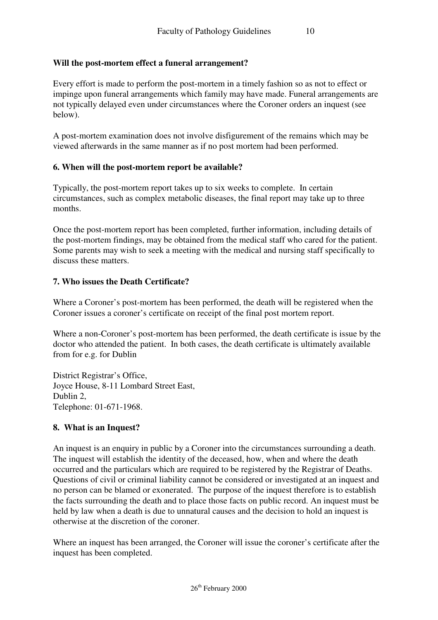## **Will the post-mortem effect a funeral arrangement?**

Every effort is made to perform the post-mortem in a timely fashion so as not to effect or impinge upon funeral arrangements which family may have made. Funeral arrangements are not typically delayed even under circumstances where the Coroner orders an inquest (see below).

A post-mortem examination does not involve disfigurement of the remains which may be viewed afterwards in the same manner as if no post mortem had been performed.

#### **6. When will the post-mortem report be available?**

Typically, the post-mortem report takes up to six weeks to complete. In certain circumstances, such as complex metabolic diseases, the final report may take up to three months.

Once the post-mortem report has been completed, further information, including details of the post-mortem findings, may be obtained from the medical staff who cared for the patient. Some parents may wish to seek a meeting with the medical and nursing staff specifically to discuss these matters.

## **7. Who issues the Death Certificate?**

Where a Coroner's post-mortem has been performed, the death will be registered when the Coroner issues a coroner's certificate on receipt of the final post mortem report.

Where a non-Coroner's post-mortem has been performed, the death certificate is issue by the doctor who attended the patient. In both cases, the death certificate is ultimately available from for e.g. for Dublin

District Registrar's Office, Joyce House, 8-11 Lombard Street East, Dublin 2, Telephone: 01-671-1968.

## **8. What is an Inquest?**

An inquest is an enquiry in public by a Coroner into the circumstances surrounding a death. The inquest will establish the identity of the deceased, how, when and where the death occurred and the particulars which are required to be registered by the Registrar of Deaths. Questions of civil or criminal liability cannot be considered or investigated at an inquest and no person can be blamed or exonerated. The purpose of the inquest therefore is to establish the facts surrounding the death and to place those facts on public record. An inquest must be held by law when a death is due to unnatural causes and the decision to hold an inquest is otherwise at the discretion of the coroner.

Where an inquest has been arranged, the Coroner will issue the coroner's certificate after the inquest has been completed.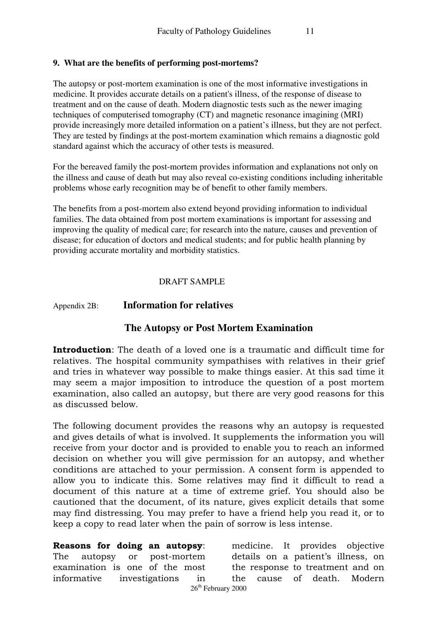### **9. What are the benefits of performing post-mortems?**

The autopsy or post-mortem examination is one of the most informative investigations in medicine. It provides accurate details on a patient's illness, of the response of disease to treatment and on the cause of death. Modern diagnostic tests such as the newer imaging techniques of computerised tomography (CT) and magnetic resonance imagining (MRI) provide increasingly more detailed information on a patient's illness, but they are not perfect. They are tested by findings at the post-mortem examination which remains a diagnostic gold standard against which the accuracy of other tests is measured.

For the bereaved family the post-mortem provides information and explanations not only on the illness and cause of death but may also reveal co-existing conditions including inheritable problems whose early recognition may be of benefit to other family members.

The benefits from a post-mortem also extend beyond providing information to individual families. The data obtained from post mortem examinations is important for assessing and improving the quality of medical care; for research into the nature, causes and prevention of disease; for education of doctors and medical students; and for public health planning by providing accurate mortality and morbidity statistics.

#### DRAFT SAMPLE

#### Appendix 2B: **Information for relatives**

# **The Autopsy or Post Mortem Examination**

Introduction: The death of a loved one is a traumatic and difficult time for relatives. The hospital community sympathises with relatives in their grief and tries in whatever way possible to make things easier. At this sad time it may seem a major imposition to introduce the question of a post mortem examination, also called an autopsy, but there are very good reasons for this as discussed below.

The following document provides the reasons why an autopsy is requested and gives details of what is involved. It supplements the information you will receive from your doctor and is provided to enable you to reach an informed decision on whether you will give permission for an autopsy, and whether conditions are attached to your permission. A consent form is appended to allow you to indicate this. Some relatives may find it difficult to read a document of this nature at a time of extreme grief. You should also be cautioned that the document, of its nature, gives explicit details that some may find distressing. You may prefer to have a friend help you read it, or to keep a copy to read later when the pain of sorrow is less intense.

26<sup>th</sup> February 2000 Reasons for doing an autopsy: The autopsy or post-mortem examination is one of the most informative investigations in medicine. It provides objective details on a patient's illness, on the response to treatment and on the cause of death. Modern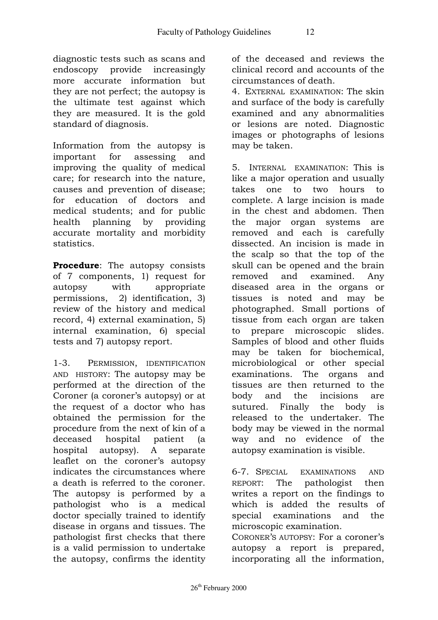diagnostic tests such as scans and endoscopy provide increasingly more accurate information but they are not perfect; the autopsy is the ultimate test against which they are measured. It is the gold standard of diagnosis.

Information from the autopsy is important for assessing and improving the quality of medical care; for research into the nature, causes and prevention of disease; for education of doctors and medical students; and for public health planning by providing accurate mortality and morbidity statistics.

Procedure: The autopsy consists of 7 components, 1) request for autopsy with appropriate permissions, 2) identification, 3) review of the history and medical record, 4) external examination, 5) internal examination, 6) special tests and 7) autopsy report.

1-3. PERMISSION, IDENTIFICATION AND HISTORY: The autopsy may be performed at the direction of the Coroner (a coroner's autopsy) or at the request of a doctor who has obtained the permission for the procedure from the next of kin of a deceased hospital patient (a hospital autopsy). A separate leaflet on the coroner's autopsy indicates the circumstances where a death is referred to the coroner. The autopsy is performed by a pathologist who is a medical doctor specially trained to identify disease in organs and tissues. The pathologist first checks that there is a valid permission to undertake the autopsy, confirms the identity of the deceased and reviews the clinical record and accounts of the circumstances of death.

4. EXTERNAL EXAMINATION: The skin and surface of the body is carefully examined and any abnormalities or lesions are noted. Diagnostic images or photographs of lesions may be taken.

5. INTERNAL EXAMINATION: This is like a major operation and usually takes one to two hours to complete. A large incision is made in the chest and abdomen. Then the major organ systems are removed and each is carefully dissected. An incision is made in the scalp so that the top of the skull can be opened and the brain removed and examined. Any diseased area in the organs or tissues is noted and may be photographed. Small portions of tissue from each organ are taken to prepare microscopic slides. Samples of blood and other fluids may be taken for biochemical, microbiological or other special examinations. The organs and tissues are then returned to the body and the incisions are sutured. Finally the body is released to the undertaker. The body may be viewed in the normal way and no evidence of the autopsy examination is visible.

6-7. SPECIAL EXAMINATIONS AND REPORT: The pathologist then writes a report on the findings to which is added the results of special examinations and the microscopic examination. CORONER'S AUTOPSY: For a coroner's autopsy a report is prepared,

incorporating all the information,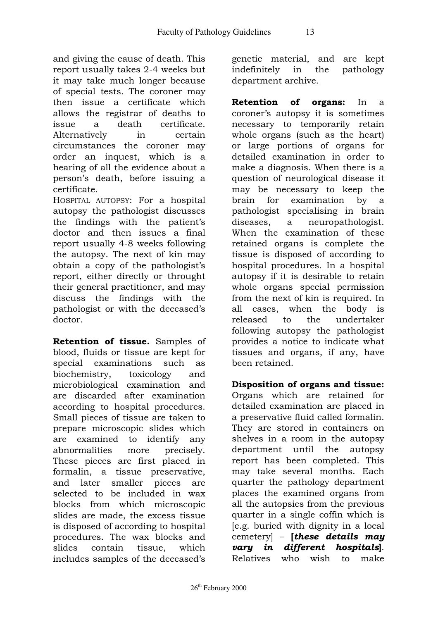and giving the cause of death. This report usually takes 2-4 weeks but it may take much longer because of special tests. The coroner may then issue a certificate which allows the registrar of deaths to issue a death certificate. Alternatively in certain circumstances the coroner may order an inquest, which is a hearing of all the evidence about a person's death, before issuing a certificate.

HOSPITAL AUTOPSY: For a hospital autopsy the pathologist discusses the findings with the patient's doctor and then issues a final report usually 4-8 weeks following the autopsy. The next of kin may obtain a copy of the pathologist's report, either directly or throught their general practitioner, and may discuss the findings with the pathologist or with the deceased's doctor.

Retention of tissue. Samples of blood, fluids or tissue are kept for special examinations such as biochemistry, toxicology and microbiological examination and are discarded after examination according to hospital procedures. Small pieces of tissue are taken to prepare microscopic slides which are examined to identify any abnormalities more precisely. These pieces are first placed in formalin, a tissue preservative, and later smaller pieces are selected to be included in wax blocks from which microscopic slides are made, the excess tissue is disposed of according to hospital procedures. The wax blocks and slides contain tissue, which includes samples of the deceased's

genetic material, and are kept indefinitely in the pathology department archive.

Retention of organs: In a coroner's autopsy it is sometimes necessary to temporarily retain whole organs (such as the heart) or large portions of organs for detailed examination in order to make a diagnosis. When there is a question of neurological disease it may be necessary to keep the brain for examination by a pathologist specialising in brain diseases, a neuropathologist. When the examination of these retained organs is complete the tissue is disposed of according to hospital procedures. In a hospital autopsy if it is desirable to retain whole organs special permission from the next of kin is required. In all cases, when the body is released to the undertaker following autopsy the pathologist provides a notice to indicate what tissues and organs, if any, have been retained.

Disposition of organs and tissue: Organs which are retained for detailed examination are placed in a preservative fluid called formalin. They are stored in containers on shelves in a room in the autopsy department until the autopsy report has been completed. This may take several months. Each quarter the pathology department places the examined organs from all the autopsies from the previous quarter in a single coffin which is [e.g. buried with dignity in a local cemetery] – [these details may vary in different hospitals]. Relatives who wish to make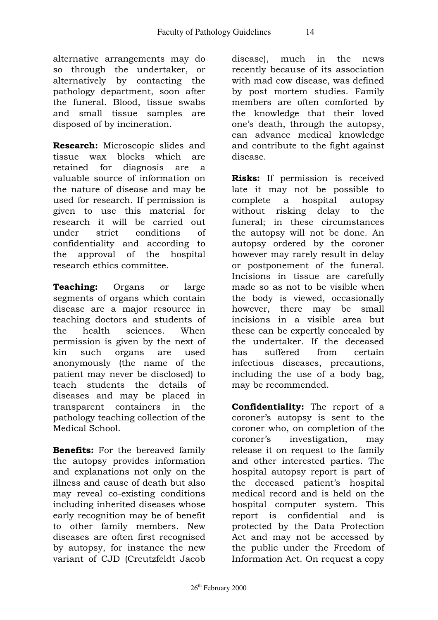alternative arrangements may do so through the undertaker, or alternatively by contacting the pathology department, soon after the funeral. Blood, tissue swabs and small tissue samples are disposed of by incineration.

Research: Microscopic slides and tissue wax blocks which are retained for diagnosis are a valuable source of information on the nature of disease and may be used for research. If permission is given to use this material for research it will be carried out under strict conditions of confidentiality and according to the approval of the hospital research ethics committee.

Teaching: Organs or large segments of organs which contain disease are a major resource in teaching doctors and students of the health sciences. When permission is given by the next of kin such organs are used anonymously (the name of the patient may never be disclosed) to teach students the details of diseases and may be placed in transparent containers in the pathology teaching collection of the Medical School.

Benefits: For the bereaved family the autopsy provides information and explanations not only on the illness and cause of death but also may reveal co-existing conditions including inherited diseases whose early recognition may be of benefit to other family members. New diseases are often first recognised by autopsy, for instance the new variant of CJD (Creutzfeldt Jacob

disease), much in the news recently because of its association with mad cow disease, was defined by post mortem studies. Family members are often comforted by the knowledge that their loved one's death, through the autopsy, can advance medical knowledge and contribute to the fight against disease.

Risks: If permission is received late it may not be possible to complete a hospital autopsy without risking delay to the funeral; in these circumstances the autopsy will not be done. An autopsy ordered by the coroner however may rarely result in delay or postponement of the funeral. Incisions in tissue are carefully made so as not to be visible when the body is viewed, occasionally however, there may be small incisions in a visible area but these can be expertly concealed by the undertaker. If the deceased has suffered from certain infectious diseases, precautions, including the use of a body bag, may be recommended.

Confidentiality: The report of a coroner's autopsy is sent to the coroner who, on completion of the coroner's investigation, may release it on request to the family and other interested parties. The hospital autopsy report is part of the deceased patient's hospital medical record and is held on the hospital computer system. This report is confidential and is protected by the Data Protection Act and may not be accessed by the public under the Freedom of Information Act. On request a copy